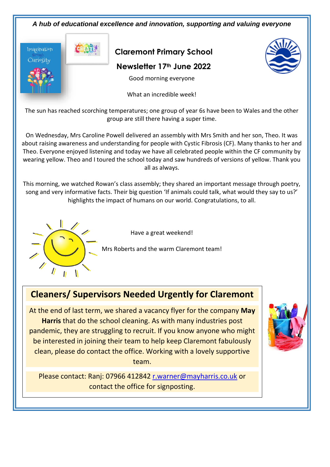



## **Cleaners/ Supervisors Needed Urgently for Claremont**

At the end of last term, we shared a vacancy flyer for the company **May Harris** that do the school cleaning. As with many industries post pandemic, they are struggling to recruit. If you know anyone who might be interested in joining their team to help keep Claremont fabulously clean, please do contact the office. Working with a lovely supportive team.

Please contact: Ranj: 07966 412842 [r.warner@mayharris.co.uk](mailto:r.warner@mayharris.co.uk) or contact the office for signposting.